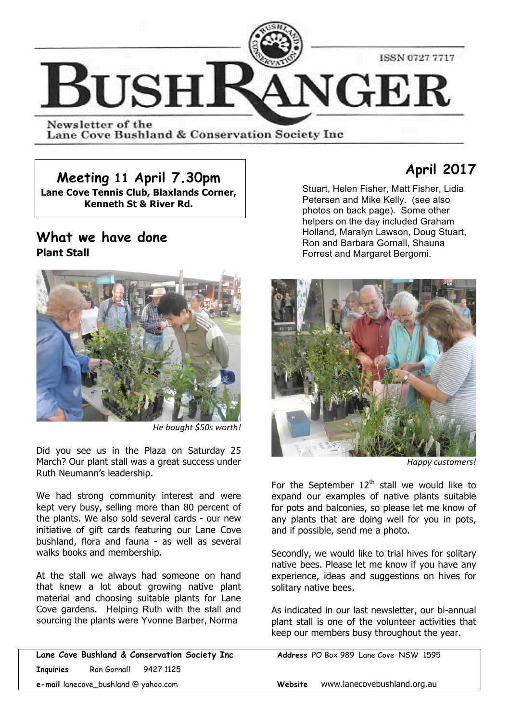

Newsletter of the Lane Cove Bushland & Conservation Society Inc

**Meeting 11 April 7.30pm**

**Lane Cove Tennis Club, Blaxlands Corner, Kenneth St & River Rd.**

## **What we have done Plant Stall**



*He bought \$50s worth!*

Did you see us in the Plaza on Saturday 25 March? Our plant stall was a great success under Ruth Neumann's leadership.

We had strong community interest and were kept very busy, selling more than 80 percent of the plants. We also sold several cards - our new initiative of gift cards featuring our Lane Cove bushland, flora and fauna - as well as several walks books and membership.

At the stall we always had someone on hand that knew a lot about growing native plant material and choosing suitable plants for Lane Cove gardens. Helping Ruth with the stall and sourcing the plants were Yvonne Barber, Norma

**Lane Cove Bushland & Conservation Society Inc Address** PO Box 989 Lane Cove NSW 1595 **Inquiries** Ron Gornall 9427 1125 **e-mail** lanecove\_bushland @ yahoo.com **Website** www.lanecovebushland.org.au

# **April 2017**

Stuart, Helen Fisher, Matt Fisher, Lidia Petersen and Mike Kelly. (see also photos on back page). Some other helpers on the day included Graham Holland, Maralyn Lawson, Doug Stuart, Ron and Barbara Gornall, Shauna Forrest and Margaret Bergomi.



*Happy customers!* 

For the September  $12<sup>th</sup>$  stall we would like to expand our examples of native plants suitable for pots and balconies, so please let me know of any plants that are doing well for you in pots, and if possible, send me a photo.

Secondly, we would like to trial hives for solitary native bees. Please let me know if you have any experience, ideas and suggestions on hives for solitary native bees.

As indicated in our last newsletter, our bi-annual plant stall is one of the volunteer activities that keep our members busy throughout the year.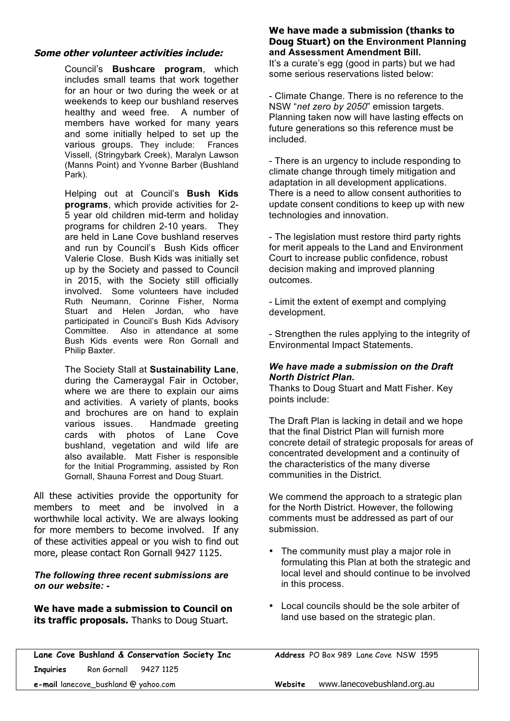#### **Some other volunteer activities include:**

Council's **Bushcare program**, which includes small teams that work together for an hour or two during the week or at weekends to keep our bushland reserves healthy and weed free. A number of members have worked for many years and some initially helped to set up the various groups. They include: Frances various groups. They include: Vissell, (Stringybark Creek), Maralyn Lawson (Manns Point) and Yvonne Barber (Bushland Park).

Helping out at Council's **Bush Kids programs**, which provide activities for 2- 5 year old children mid-term and holiday programs for children 2-10 years. They are held in Lane Cove bushland reserves and run by Council's Bush Kids officer Valerie Close. Bush Kids was initially set up by the Society and passed to Council in 2015, with the Society still officially involved. Some volunteers have included Ruth Neumann, Corinne Fisher, Norma Stuart and Helen Jordan, who have participated in Council's Bush Kids Advisory Committee. Also in attendance at some Bush Kids events were Ron Gornall and Philip Baxter.

The Society Stall at **Sustainability Lane**, during the Cameraygal Fair in October, where we are there to explain our aims and activities. A variety of plants, books and brochures are on hand to explain various issues. Handmade greeting cards with photos of Lane Cove bushland, vegetation and wild life are also available. Matt Fisher is responsible for the Initial Programming, assisted by Ron Gornall, Shauna Forrest and Doug Stuart.

All these activities provide the opportunity for members to meet and be involved in a worthwhile local activity. We are always looking for more members to become involved. If any of these activities appeal or you wish to find out more, please contact Ron Gornall 9427 1125.

#### *The following three recent submissions are on our website: -*

**We have made a submission to Council on its traffic proposals.** Thanks to Doug Stuart.

#### **We have made a submission (thanks to Doug Stuart) on the Environment Planning and Assessment Amendment Bill.**

It's a curate's egg (good in parts) but we had some serious reservations listed below:

- Climate Change. There is no reference to the NSW "*net zero by 2050*" emission targets. Planning taken now will have lasting effects on future generations so this reference must be included.

- There is an urgency to include responding to climate change through timely mitigation and adaptation in all development applications. There is a need to allow consent authorities to update consent conditions to keep up with new technologies and innovation.

- The legislation must restore third party rights for merit appeals to the Land and Environment Court to increase public confidence, robust decision making and improved planning outcomes.

- Limit the extent of exempt and complying development.

- Strengthen the rules applying to the integrity of Environmental Impact Statements.

#### *We have made a submission on the Draft North District Plan.*

Thanks to Doug Stuart and Matt Fisher. Key points include:

The Draft Plan is lacking in detail and we hope that the final District Plan will furnish more concrete detail of strategic proposals for areas of concentrated development and a continuity of the characteristics of the many diverse communities in the District.

We commend the approach to a strategic plan for the North District. However, the following comments must be addressed as part of our submission.

- The community must play a major role in formulating this Plan at both the strategic and local level and should continue to be involved in this process.
- Local councils should be the sole arbiter of land use based on the strategic plan.

**Lane Cove Bushland & Conservation Society Inc Address** PO Box 989 Lane Cove NSW 1595 **Inquiries** Ron Gornall 9427 1125 **e-mail** lanecove\_bushland @ yahoo.com **Website** www.lanecovebushland.org.au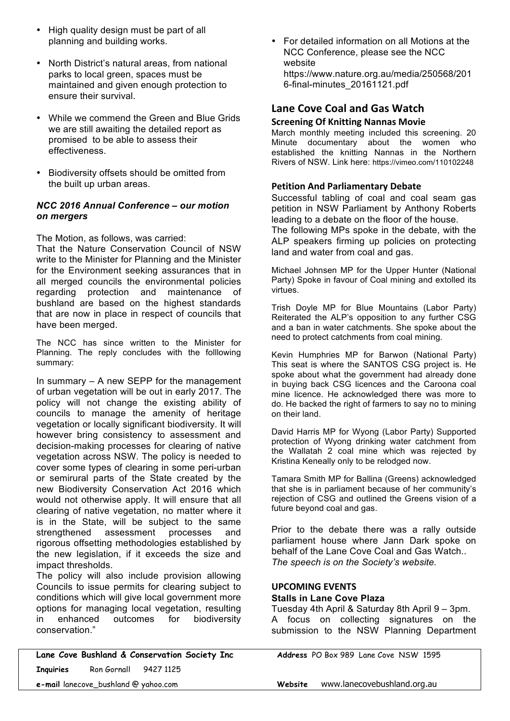- High quality design must be part of all planning and building works.
- North District's natural areas, from national parks to local green, spaces must be maintained and given enough protection to ensure their survival.
- While we commend the Green and Blue Grids we are still awaiting the detailed report as promised to be able to assess their effectiveness.
- Biodiversity offsets should be omitted from the built up urban areas.

#### *NCC 2016 Annual Conference – our motion on mergers*

The Motion, as follows, was carried:

That the Nature Conservation Council of NSW write to the Minister for Planning and the Minister for the Environment seeking assurances that in all merged councils the environmental policies regarding protection and maintenance of bushland are based on the highest standards that are now in place in respect of councils that have been merged.

The NCC has since written to the Minister for Planning. The reply concludes with the folllowing summary:

In summary – A new SEPP for the management of urban vegetation will be out in early 2017. The policy will not change the existing ability of councils to manage the amenity of heritage vegetation or locally significant biodiversity. It will however bring consistency to assessment and decision-making processes for clearing of native vegetation across NSW. The policy is needed to cover some types of clearing in some peri-urban or semirural parts of the State created by the new Biodiversity Conservation Act 2016 which would not otherwise apply. It will ensure that all clearing of native vegetation, no matter where it is in the State, will be subject to the same strengthened assessment processes and rigorous offsetting methodologies established by the new legislation, if it exceeds the size and impact thresholds.

The policy will also include provision allowing Councils to issue permits for clearing subject to conditions which will give local government more options for managing local vegetation, resulting in enhanced outcomes for biodiversity conservation."

**Lane Cove Bushland & Conservation Society Inc Address** PO Box 989 Lane Cove NSW 1595 **Inquiries** Ron Gornall 9427 1125

• For detailed information on all Motions at the NCC Conference, please see the NCC website https://www.nature.org.au/media/250568/201 6-final-minutes\_20161121.pdf

### Lane Cove Coal and Gas Watch

#### **Screening Of Knitting Nannas Movie**

March monthly meeting included this screening. 20 Minute documentary about the women who established the knitting Nannas in the Northern Rivers of NSW. Link here: https://vimeo.com/110102248

#### **Petition And Parliamentary Debate**

Successful tabling of coal and coal seam gas petition in NSW Parliament by Anthony Roberts leading to a debate on the floor of the house.

The following MPs spoke in the debate, with the ALP speakers firming up policies on protecting land and water from coal and gas.

Michael Johnsen MP for the Upper Hunter (National Party) Spoke in favour of Coal mining and extolled its virtues.

Trish Doyle MP for Blue Mountains (Labor Party) Reiterated the ALP's opposition to any further CSG and a ban in water catchments. She spoke about the need to protect catchments from coal mining.

Kevin Humphries MP for Barwon (National Party) This seat is where the SANTOS CSG project is. He spoke about what the government had already done in buying back CSG licences and the Caroona coal mine licence. He acknowledged there was more to do. He backed the right of farmers to say no to mining on their land.

David Harris MP for Wyong (Labor Party) Supported protection of Wyong drinking water catchment from the Wallatah 2 coal mine which was rejected by Kristina Keneally only to be relodged now.

Tamara Smith MP for Ballina (Greens) acknowledged that she is in parliament because of her community's rejection of CSG and outlined the Greens vision of a future beyond coal and gas.

Prior to the debate there was a rally outside parliament house where Jann Dark spoke on behalf of the Lane Cove Coal and Gas Watch.. *The speech is on the Society's website.*

#### **UPCOMING EVENTS Stalls in Lane Cove Plaza**

Tuesday 4th April & Saturday 8th April 9 – 3pm. A focus on collecting signatures on the submission to the NSW Planning Department

**e-mail** lanecove\_bushland @ yahoo.com **Website** www.lanecovebushland.org.au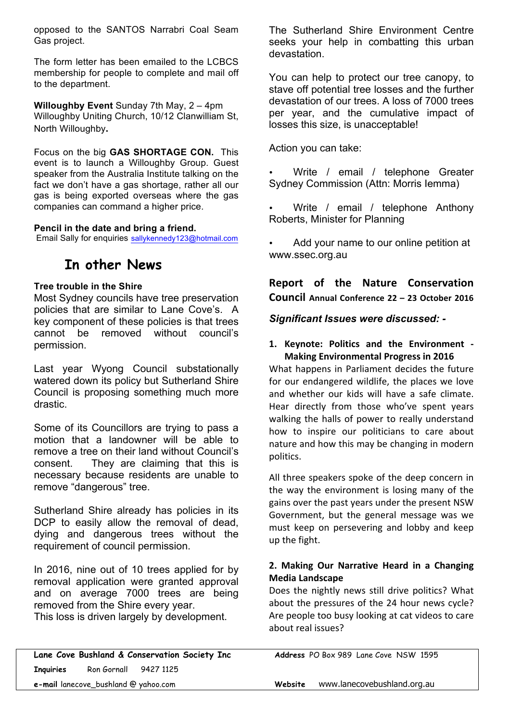opposed to the SANTOS Narrabri Coal Seam Gas project.

The form letter has been emailed to the LCBCS membership for people to complete and mail off to the department.

**Willoughby Event** Sunday 7th May, 2 – 4pm Willoughby Uniting Church, 10/12 Clanwilliam St, North Willoughby**.**

Focus on the big **GAS SHORTAGE CON.** This event is to launch a Willoughby Group. Guest speaker from the Australia Institute talking on the fact we don't have a gas shortage, rather all our gas is being exported overseas where the gas companies can command a higher price.

#### **Pencil in the date and bring a friend.**

Email Sally for enquiries sallykennedy123@hotmail.com

## **In other News**

#### **Tree trouble in the Shire**

Most Sydney councils have tree preservation policies that are similar to Lane Cove's. A key component of these policies is that trees cannot be removed without council's permission.

Last year Wyong Council substationally watered down its policy but Sutherland Shire Council is proposing something much more drastic.

Some of its Councillors are trying to pass a motion that a landowner will be able to remove a tree on their land without Council's consent. They are claiming that this is necessary because residents are unable to remove "dangerous" tree.

Sutherland Shire already has policies in its DCP to easily allow the removal of dead, dying and dangerous trees without the requirement of council permission.

In 2016, nine out of 10 trees applied for by removal application were granted approval and on average 7000 trees are being removed from the Shire every year. This loss is driven largely by development.

Lane Cove Bushland & Conservation Society Inc **Address** PO Box 989 Lane Cove NSW 1595 **Inquiries** Ron Gornall 9427 1125

The Sutherland Shire Environment Centre seeks your help in combatting this urban devastation.

You can help to protect our tree canopy, to stave off potential tree losses and the further devastation of our trees. A loss of 7000 trees per year, and the cumulative impact of losses this size, is unacceptable!

Action you can take:

- Write / email / telephone Greater Sydney Commission (Attn: Morris Iemma)
- Write / email / telephone Anthony Roberts, Minister for Planning

• Add your name to our online petition at www.ssec.org.au

**Report of the Nature Conservation Council Annual Conference 22 – 23 October 2016**

*Significant Issues were discussed: -*

#### **1. Keynote: Politics and the Environment - Making Environmental Progress in 2016**

What happens in Parliament decides the future for our endangered wildlife, the places we love and whether our kids will have a safe climate. Hear directly from those who've spent years walking the halls of power to really understand how to inspire our politicians to care about nature and how this may be changing in modern politics.

All three speakers spoke of the deep concern in the way the environment is losing many of the gains over the past years under the present NSW Government, but the general message was we must keep on persevering and lobby and keep up the fight.

#### **2. Making Our Narrative Heard in a Changing Media Landscape**

Does the nightly news still drive politics? What about the pressures of the 24 hour news cycle? Are people too busy looking at cat videos to care about real issues?

**e-mail** lanecove\_bushland @ yahoo.com **Website** www.lanecovebushland.org.au